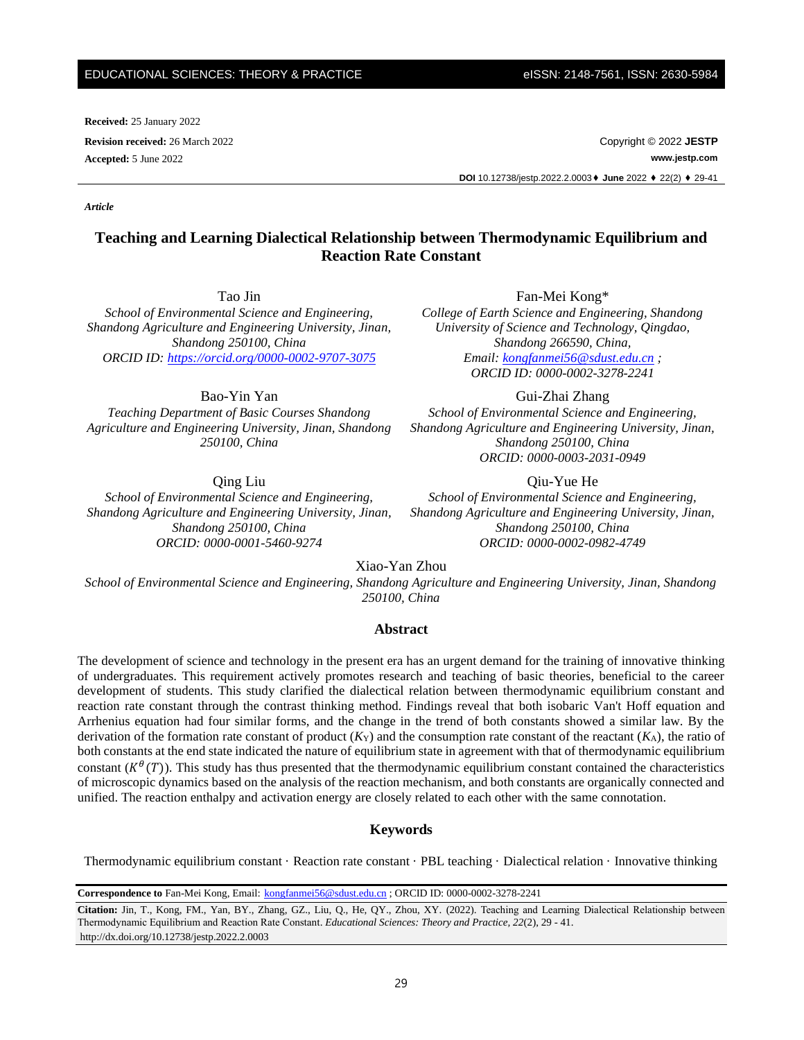#### EDUCATIONAL SCIENCES: THEORY & PRACTICE eISSN: 2148-7561, ISSN: 2630-5984

**Received:** 25 January 2022

*Article*

**Revision received:** 26 March 2022 Copyright © 2022 **JESTP Accepted:** 5 June 2022 **www.jestp.com DOI** 10.12738/jestp.2022.2.0003⬧ **June** 2022 ⬧ 22(2) ⬧ 29-41

# **Teaching and Learning Dialectical Relationship between Thermodynamic Equilibrium and Reaction Rate Constant**

Tao Jin

*School of Environmental Science and Engineering, Shandong Agriculture and Engineering University, Jinan, Shandong 250100, China ORCID ID:<https://orcid.org/0000-0002-9707-3075>*

Bao-Yin Yan

*Teaching Department of Basic Courses Shandong Agriculture and Engineering University, Jinan, Shandong 250100, China*

Qing Liu

*School of Environmental Science and Engineering, Shandong Agriculture and Engineering University, Jinan, Shandong 250100, China ORCID: 0000-0001-5460-9274*

Fan-Mei Kong\*

*College of Earth Science and Engineering, Shandong University of Science and Technology, Qingdao, Shandong 266590, China, Email: [kongfanmei56@sdust.edu.cn](mailto:kongfanmei56@sdust.edu.cn) ; ORCID ID: 0000-0002-3278-2241*

Gui-Zhai Zhang

*School of Environmental Science and Engineering, Shandong Agriculture and Engineering University, Jinan, Shandong 250100, China ORCID: 0000-0003-2031-0949*

Qiu-Yue He

*School of Environmental Science and Engineering, Shandong Agriculture and Engineering University, Jinan, Shandong 250100, China ORCID: 0000-0002-0982-4749*

Xiao-Yan Zhou

*School of Environmental Science and Engineering, Shandong Agriculture and Engineering University, Jinan, Shandong 250100, China*

# **Abstract**

The development of science and technology in the present era has an urgent demand for the training of innovative thinking of undergraduates. This requirement actively promotes research and teaching of basic theories, beneficial to the career development of students. This study clarified the dialectical relation between thermodynamic equilibrium constant and reaction rate constant through the contrast thinking method. Findings reveal that both isobaric Van't Hoff equation and Arrhenius equation had four similar forms, and the change in the trend of both constants showed a similar law. By the derivation of the formation rate constant of product  $(K_Y)$  and the consumption rate constant of the reactant  $(K_A)$ , the ratio of both constants at the end state indicated the nature of equilibrium state in agreement with that of thermodynamic equilibrium constant  $(K^{\theta}(T))$ . This study has thus presented that the thermodynamic equilibrium constant contained the characteristics of microscopic dynamics based on the analysis of the reaction mechanism, and both constants are organically connected and unified. The reaction enthalpy and activation energy are closely related to each other with the same connotation.

## **Keywords**

Thermodynamic equilibrium constant · Reaction rate constant · PBL teaching · Dialectical relation · Innovative thinking

**Correspondence to** Fan-Mei Kong, Email: [kongfanmei56@sdust.edu.cn](mailto:kongfanmei56@sdust.edu.cn) ; ORCID ID: 0000-0002-3278-2241

**Citation:** Jin, T., Kong, FM., Yan, BY., Zhang, GZ., Liu, Q., He, QY., Zhou, XY. (2022). Teaching and Learning Dialectical Relationship between Thermodynamic Equilibrium and Reaction Rate Constant. *Educational Sciences: Theory and Practice, 22*(2), 29 - 41. http://dx.doi.org/10.12738/jestp.2022.2.0003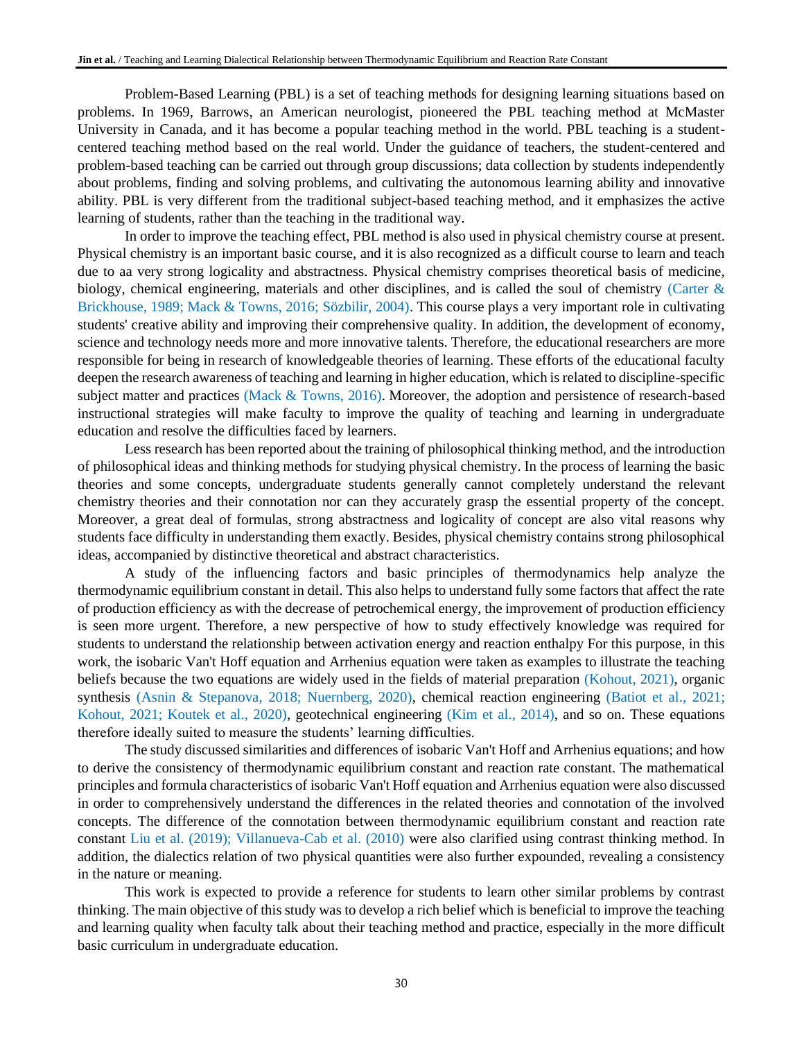Problem-Based Learning (PBL) is a set of teaching methods for designing learning situations based on problems. In 1969, Barrows, an American neurologist, pioneered the PBL teaching method at McMaster University in Canada, and it has become a popular teaching method in the world. PBL teaching is a studentcentered teaching method based on the real world. Under the guidance of teachers, the student-centered and problem-based teaching can be carried out through group discussions; data collection by students independently about problems, finding and solving problems, and cultivating the autonomous learning ability and innovative ability. PBL is very different from the traditional subject-based teaching method, and it emphasizes the active learning of students, rather than the teaching in the traditional way.

In order to improve the teaching effect, PBL method is also used in physical chemistry course at present. Physical chemistry is an important basic course, and it is also recognized as a difficult course to learn and teach due to aa very strong [logicality](http://www.youdao.com/w/logicality/#keyfrom=E2Ctranslation) and abstractness. Physical chemistry comprises theoretical basis of medicine, biology, chemical engineering, materials and other disciplines, and is called the soul of chemistry (Carter & Brickhouse, 1989; Mack & Towns, 2016; Sözbilir, 2004). This course plays a very important role in cultivating students' creative ability and improving their comprehensive quality. In addition, the development of economy, science and technology needs more and more innovative talents. Therefore, the educational researchers are more responsible for being in research of knowledgeable theories of learning. These efforts of the educational faculty deepen the research awareness of teaching and learning in higher education, which is related to discipline-specific subject matter and practices (Mack  $&$  Towns, 2016). Moreover, the adoption and persistence of research-based instructional strategies will make faculty to improve the quality of teaching and learning in undergraduate education and resolve the difficulties faced by learners.

Less research has been reported about the training of philosophical thinking method, and the introduction of philosophical ideas and thinking methods for studying physical chemistry. In the process of learning the basic theories and some concepts, undergraduate students generally cannot [completel](http://www.youdao.com/w/complete/#keyfrom=E2Ctranslation)y understand the relevant chemistry theories and their connotation nor can they accurately grasp the essential property of the concept. Moreover, a great deal of formulas, strong abstractness and logicality of concept are also vital reasons why students face difficulty in understanding them exactly. Besides, physical chemistry contains strong philosophical ideas, accompanied by distinctive theoretical and abstract characteristics.

A study of the influencing factors and basic principles of thermodynamics help analyze the thermodynamic equilibrium constant in detail. This also helps to understand fully some factors that affect the rate of production efficiency as with the decrease of petrochemical energy, the improvement of production efficiency is seen more urgent. Therefore, a new perspective of how to study effectively knowledge was required for students to understand the relationship between activation energy and reaction enthalpy For this purpose, in this work, the isobaric Van't Hoff equation and Arrhenius equation were taken as examples to illustrate the teaching beliefs because the two equations are widely used in the fields of material preparation (Kohout, 2021), organic synthesis (Asnin & Stepanova, 2018; Nuernberg, 2020), chemical reaction engineering (Batiot et al., 2021; Kohout, 2021; Koutek et al., 2020), geotechnical engineering (Kim et al., 2014), and so on. These equations therefore ideally suited to measure the students' learning difficulties.

The study discussed similarities and differences of isobaric Van't Hoff and Arrhenius equations; and how to derive the consistency of thermodynamic equilibrium constant and reaction rate constant. The mathematical principles and formula characteristics of isobaric Van't Hoff equation and Arrhenius equation were also discussed in order to comprehensively understand the differences in the related theories and connotation of the involved concepts. The difference of the connotation between thermodynamic equilibrium constant and reaction rate constant Liu et al. (2019); Villanueva-Cab et al. (2010) were also clarified using contrast thinking method. In addition, the dialectics relation of two physical quantities were also further expounded, revealing a consistency in the nature or meaning.

This work is expected to provide a reference for students to learn other similar problems by contrast thinking. The main objective of this study was to develop a rich belief which is beneficial to improve the teaching and learning quality when faculty talk about their teaching method and practice, especially in the more difficult basic curriculum in undergraduate education.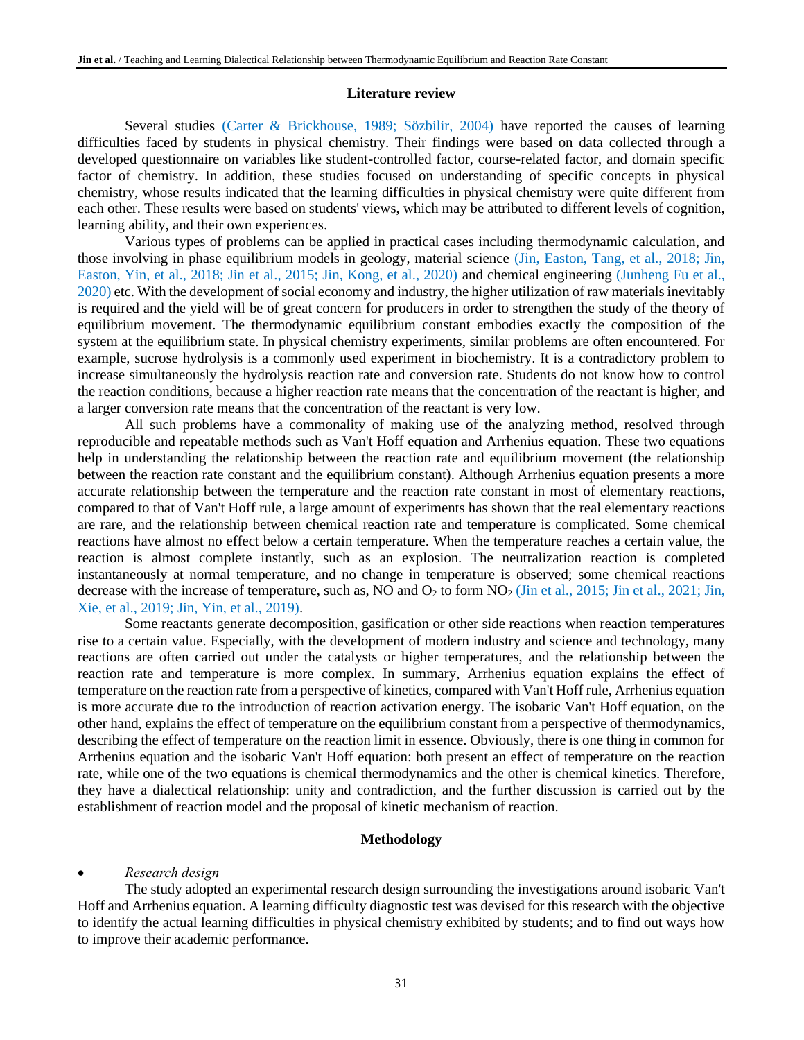#### **Literature review**

Several studies (Carter & Brickhouse, 1989; Sözbilir, 2004) have reported the causes of learning difficulties faced by students in physical chemistry. Their findings were based on data collected through a developed questionnaire on variables like student-controlled factor, course-related factor, and domain specific factor of chemistry. In addition, these studies focused on understanding of specific concepts in physical chemistry, whose results indicated that the learning difficulties in physical chemistry were quite different from each other. These results were based on students' views, which may be attributed to different levels of cognition, learning ability, and their own experiences.

Various types of problems can be applied in practical cases including thermodynamic calculation, and those involving in phase equilibrium models in geology, material science (Jin, Easton, Tang, et al., 2018; Jin, Easton, Yin, et al., 2018; Jin et al., 2015; Jin, Kong, et al., 2020) and chemical engineering (Junheng Fu et al., 2020) etc. With the development of social economy and industry, the higher utilization of raw materials inevitably is required and the yield will be of great concern for producers in order to strengthen the study of the theory of equilibrium movement. The thermodynamic equilibrium constant embodies exactly the composition of the system at the equilibrium state. In physical chemistry experiments, similar problems are often encountered. For example, sucrose hydrolysis is a commonly used experiment in biochemistry. It is a contradictory problem to increase [simultaneously](http://www.youdao.com/w/simultaneously/#keyfrom=E2Ctranslation) the hydrolysis reaction rate and conversion rate. Students do not know how to control the reaction conditions, because a higher reaction rate means that the concentration of the reactant is higher, and a larger conversion rate means that the concentration of the reactant is very low.

All such problems have a commonality of making use of the analyzing method, resolved through reproducible and repeatable methods such as Van't Hoff equation and Arrhenius equation. These two equations help in understanding the relationship between the reaction rate and equilibrium movement (the relationship between the reaction rate constant and the equilibrium constant). Although Arrhenius equation presents a more accurate relationship between the temperature and the reaction rate constant in most of elementary reactions, compared to that of Van't Hoff rule, a large amount of experiments has shown that the real elementary reactions are rare, and the relationship between chemical reaction rate and temperature is complicated. Some chemical reactions have almost no effect below a certain temperature. When the temperature reaches a certain value, the reaction is almost complete instantly, such as an explosion. The neutralization reaction is completed instantaneously at normal temperature, and no change in temperature is observed; some chemical reactions decrease with the increase of temperature, such as, NO and  $O_2$  to form  $NO_2$  (Jin et al., 2015; Jin et al., 2021; Jin, Xie, et al., 2019; Jin, Yin, et al., 2019).

Some reactants generate decomposition, gasification or other side reactions when reaction temperatures rise to a certain value. Especially, with the development of modern industry and science and technology, many reactions are often carried out under the catalysts or higher temperatures, and the relationship between the reaction rate and temperature is more complex. In summary, Arrhenius equation explains the effect of temperature on the reaction rate from a perspective of kinetics, compared with Van't Hoff rule, Arrhenius equation is more accurate due to the introduction of reaction activation energy. The isobaric Van't Hoff equation, on the other hand, explains the effect of temperature on the equilibrium constant from a perspective of thermodynamics, describing the effect of temperature on the reaction limit in essence. Obviously, there is one thing in common for Arrhenius equation and the isobaric Van't Hoff equation: both present an effect of temperature on the reaction rate, while one of the two equations is chemical thermodynamics and the other is chemical kinetics. Therefore, they have a dialectical relationship: unity and contradiction, and the further discussion is carried out by the establishment of reaction model and the proposal of kinetic mechanism of reaction.

## **Methodology**

# • *Research design*

The study adopted an experimental research design surrounding the investigations around isobaric Van't Hoff and Arrhenius equation. A learning difficulty diagnostic test was devised for this research with the objective to identify the actual learning difficulties in physical chemistry exhibited by students; and to find out ways how to improve their academic performance.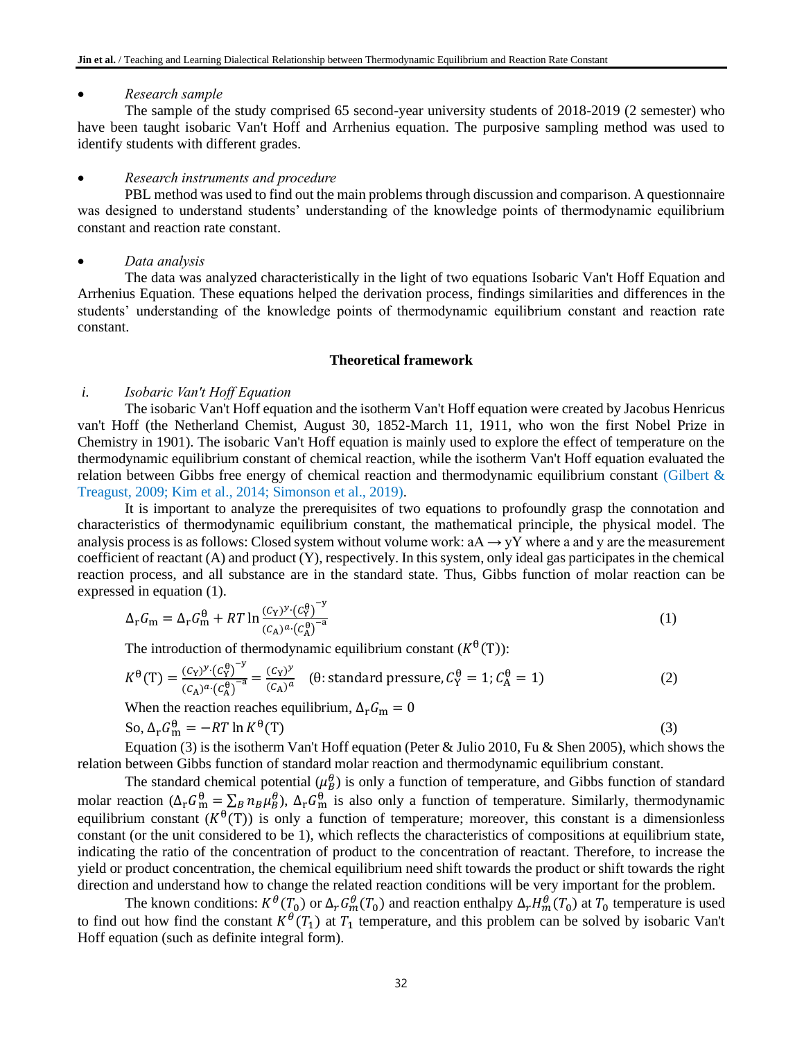# • *Research sample*

The sample of the study comprised 65 second-year university students of 2018-2019 (2 semester) who have been taught isobaric Van't Hoff and Arrhenius equation. The purposive sampling method was used to identify students with different grades.

# • *Research instruments and procedure*

PBL method was used to find out the main problems through discussion and comparison. A questionnaire was designed to understand students' understanding of the knowledge points of thermodynamic equilibrium constant and reaction rate constant.

# • *Data analysis*

The data was analyzed characteristically in the light of two equations Isobaric Van't Hoff Equation and Arrhenius Equation. These equations helped the derivation process, findings similarities and differences in the students' understanding of the knowledge points of thermodynamic equilibrium constant and reaction rate constant.

## **Theoretical framework**

## *i. Isobaric Van't Hoff Equation*

The isobaric Van't Hoff equation and the isotherm Van't Hoff equation were created by Jacobus Henricus van't Hoff (the Netherland Chemist, August 30, 1852-March 11, 1911, who won the first Nobel Prize in Chemistry in 1901). The isobaric Van't Hoff equation is mainly used to explore the effect of temperature on the thermodynamic equilibrium constant of chemical reaction, while the isotherm Van't Hoff equation evaluated the relation between Gibbs free energy of chemical reaction and thermodynamic equilibrium constant (Gilbert  $\&$ Treagust, 2009; Kim et al., 2014; Simonson et al., 2019).

It is important to analyze the prerequisites of two equations to profoundly grasp the connotation and characteristics of thermodynamic equilibrium constant, the mathematical principle, the physical model. The analysis process is as follows: Closed system without volume work:  $aA \rightarrow yY$  where a and y are the measurement coefficient of reactant (A) and product (Y), respectively. In this system, only ideal gas participates in the chemical reaction process, and all substance are in the standard state. Thus, Gibbs function of molar reaction can be expressed in equation (1).

$$
\Delta_{\rm r} G_{\rm m} = \Delta_{\rm r} G_{\rm m}^{\Theta} + RT \ln \frac{(c_{\rm Y})^{\nu} \cdot (c_{\rm Y}^{\Theta})^{-\nu}}{(c_{\rm A})^a \cdot (c_{\rm A}^{\Theta})^{-a}}
$$
(1)

The introduction of thermodynamic equilibrium constant  $(K^{\theta}(T))$ :

$$
K^{\theta}(T) = \frac{(c_Y)^y \cdot (c_Y^{\theta})^{-y}}{(c_A)^a \cdot (c_A^{\theta})^{-a}} = \frac{(c_Y)^y}{(c_A)^a} \quad (\theta \text{: standard pressure}, c_Y^{\theta} = 1; c_A^{\theta} = 1)
$$
 (2)

When the reaction reaches equilibrium,  $\Delta_{\rm r}G_{\rm m} = 0$ 

So, 
$$
\Delta_{\mathbf{r}} G_{\mathbf{m}}^{\theta} = -RT \ln K^{\theta}(\mathbf{T})
$$
 (3)

Equation (3) is the isotherm Van't Hoff equation (Peter & Julio 2010, Fu & Shen 2005), which shows the relation between Gibbs function of standard molar reaction and thermodynamic equilibrium constant.

The standard chemical potential  $(\mu_B^{\theta})$  is only a function of temperature, and Gibbs function of standard molar reaction ( $\Delta_r G_m^{\theta} = \sum_B n_B \mu_B^{\theta}$ ),  $\Delta_r G_m^{\theta}$  is also only a function of temperature. Similarly, thermodynamic equilibrium constant  $(K^{\theta}(T))$  is only a function of temperature; moreover, this constant is a dimensionless constant (or the unit considered to be 1), which reflects the characteristics of compositions at equilibrium state, indicating the ratio of the concentration of product to the concentration of reactant. Therefore, to increase the yield or product concentration, the chemical equilibrium need shift towards the product or shift towards the right direction and understand how to change the related reaction conditions will be very important for the problem.

The known conditions:  $K^{\theta}(T_0)$  or  $\Delta_r G_m^{\theta}(T_0)$  and reaction enthalpy  $\Delta_r H_m^{\theta}(T_0)$  at  $T_0$  temperature is used to find out how find the constant  $K^{\theta}(T_1)$  at  $T_1$  temperature, and this problem can be solved by isobaric Van't Hoff equation (such as definite integral form).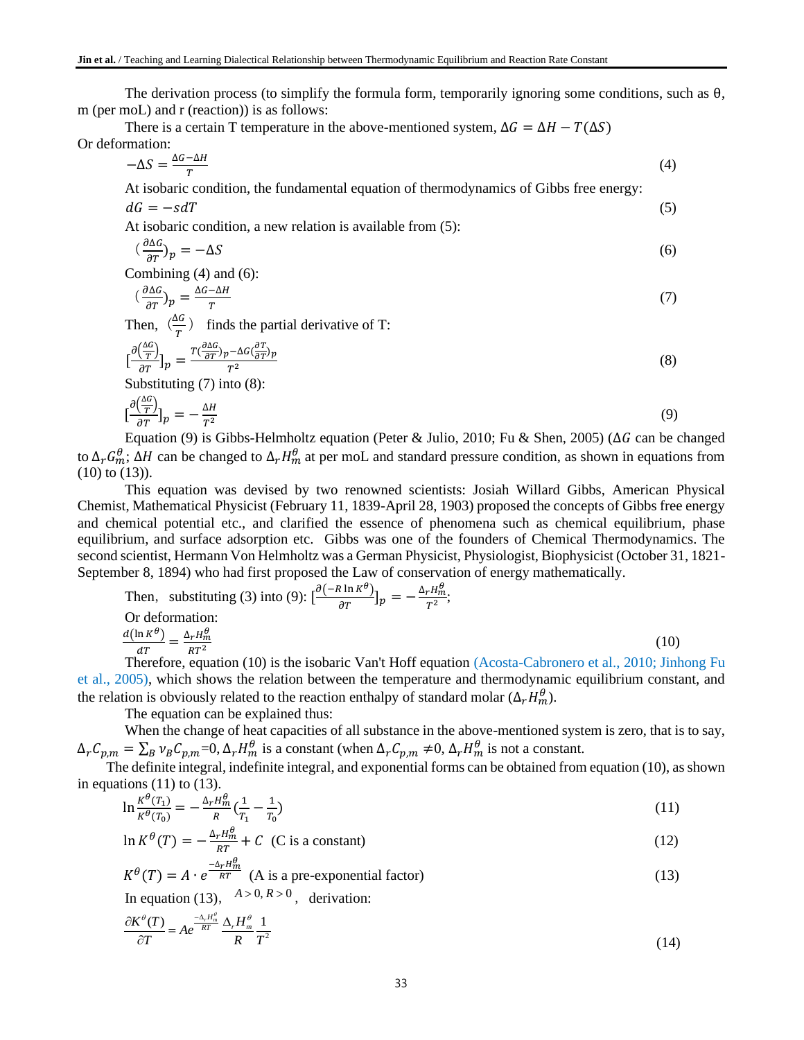The derivation process (to simplify the formula form, temporarily ignoring some conditions, such as  $\theta$ , m (per moL) and r (reaction)) is as follows:

There is a certain T temperature in the above-mentioned system,  $\Delta G = \Delta H - T(\Delta S)$ Or deformation:

$$
-\Delta S = \frac{\Delta G - \Delta H}{T} \tag{4}
$$

At isobaric condition, the fundamental equation of thermodynamics of Gibbs free energy:

$$
dG = -s dT \tag{5}
$$

At isobaric condition, a new relation is available from (5):

$$
\left(\frac{\partial \Delta G}{\partial T}\right)_p = -\Delta S\tag{6}
$$

Combining (4) and (6):

$$
\left(\frac{\partial \Delta G}{\partial T}\right)_p = \frac{\Delta G - \Delta H}{T} \tag{7}
$$

Then,  $\left(\frac{\Delta G}{T}\right)$  $\frac{dG}{T}$ ) finds the partial derivative of T:

$$
\left[\frac{\partial \left(\frac{\Delta G}{T}\right)}{\partial T}\right]_p = \frac{T\left(\frac{\partial \Delta G}{\partial T}\right)_p - \Delta G \left(\frac{\partial T}{\partial T}\right)_p}{T^2} \tag{8}
$$

Substituting (7) into (8):

$$
\left[\frac{\partial \left(\frac{\Delta G}{T}\right)}{\partial T}\right]_p = -\frac{\Delta H}{T^2} \tag{9}
$$

Equation (9) is Gibbs-Helmholtz equation (Peter & Julio, 2010; Fu & Shen, 2005) ( $\Delta G$  can be changed to  $\Delta_r G_m^{\theta}$ ;  $\Delta H$  can be changed to  $\Delta_r H_m^{\theta}$  at per moL and standard pressure condition, as shown in equations from (10) to (13)).

This equation was devised by two renowned scientists: Josiah Willard Gibbs, American Physical Chemist, Mathematical Physicist (February 11, 1839-April 28, 1903) proposed the concepts of Gibbs free energy and chemical potential etc., and clarified the essence of phenomena such as chemical equilibrium, phase equilibrium, and surface adsorption etc. Gibbs was one of the founders of Chemical Thermodynamics. The second scientist, Hermann Von Helmholtz was a German Physicist, Physiologist, Biophysicist (October 31, 1821- September 8, 1894) who had first proposed the Law of conservation of energy mathematically.

Then, substituting (3) into (9): 
$$
\left[\frac{\partial(-R \ln K^{\theta})}{\partial T}\right]_p = -\frac{\Delta_r H_m^{\theta}}{T^2}
$$
;  
\nOr deformation:  
\n
$$
\frac{d(\ln K^{\theta})}{dT} = \frac{\Delta_r H_m^{\theta}}{RT^2}
$$
\n(10)  
\nTherefore, equation (10) is the isobaric Van't Hoff equation (Acosta-Cabronero et al., 2010: Jinhor

Therefore, equation (10) is the isobaric Van't Hoff equation (Acosta-Cabronero et al., 2010; Jinhong Fu et al., 2005), which shows the relation between the temperature and thermodynamic equilibrium constant, and the relation is obviously related to the reaction enthalpy of standard molar ( $\Delta_r H_m^{\theta}$ ).

The equation can be explained thus:

When the change of heat capacities of all substance in the above-mentioned system is zero, that is to say,  $\Delta_r C_{p,m} = \sum_B v_B C_{p,m} = 0$ ,  $\Delta_r H_m^{\theta}$  is a constant (when  $\Delta_r C_{p,m} \neq 0$ ,  $\Delta_r H_m^{\theta}$  is not a constant.

The definite integral, indefinite integral, and exponential forms can be obtained from equation (10), as shown in equations  $(11)$  to  $(13)$ .

$$
\ln \frac{\kappa^{\theta}(T_1)}{\kappa^{\theta}(T_0)} = -\frac{\Delta_r H_m^{\theta}}{R} \left(\frac{1}{T_1} - \frac{1}{T_0}\right) \tag{11}
$$

$$
\ln K^{\theta}(T) = -\frac{\Delta_r H_m^{\theta}}{RT} + C
$$
 (C is a constant) (12)

$$
K^{\theta}(T) = A \cdot e^{\frac{-\Delta_r H_m^{\theta}}{RT}} \text{ (A is a pre-exponential factor)}
$$
\nIn equation (13),  $A > 0, R > 0$ , derivation: (13)

$$
\frac{\partial K^{\theta}(T)}{\partial T} = Ae^{-\frac{\Delta_r H_m^{\theta}}{RT}} \frac{\Delta_r H_m^{\theta}}{R} \frac{1}{T^2}
$$
\n(14)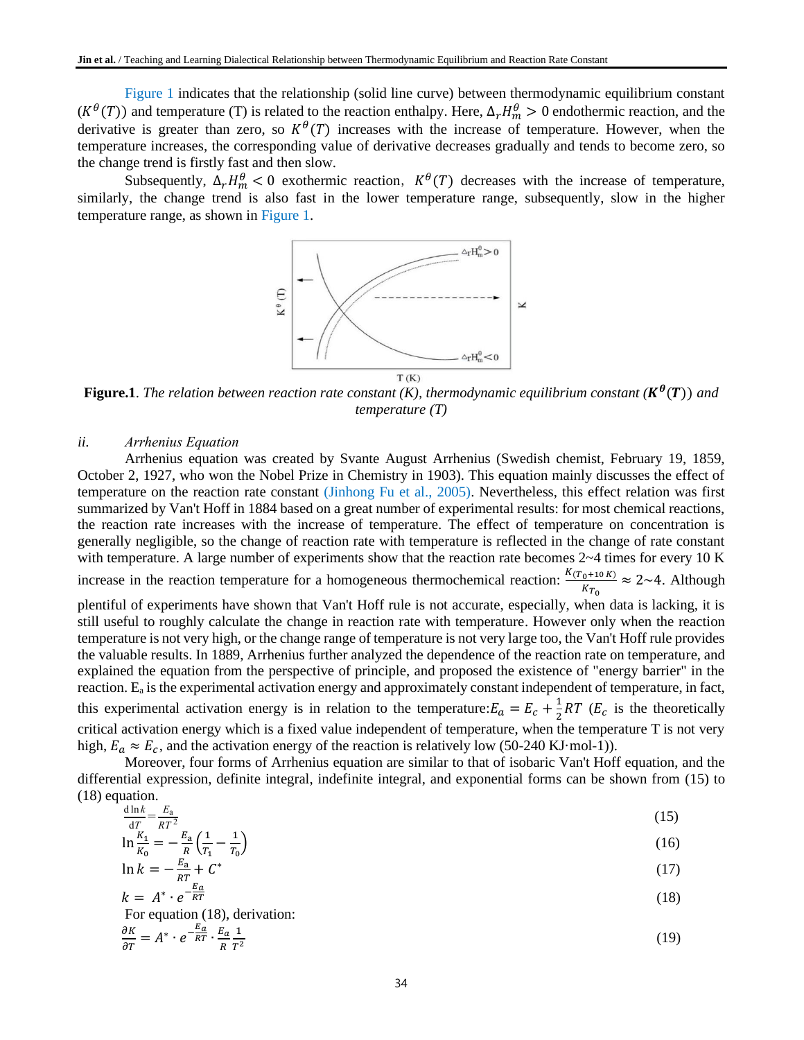Figure 1 indicates that the relationship (solid line curve) between thermodynamic equilibrium constant  $(K^{\theta}(T))$  and temperature (T) is related to the reaction enthalpy. Here,  $\Delta_r H_m^{\theta} > 0$  endothermic reaction, and the derivative is greater than zero, so  $K^{\theta}(T)$  increases with the increase of temperature. However, when the temperature increases, the corresponding value of derivative decreases gradually and tends to become zero, so the change trend is firstly fast and then slow.

Subsequently,  $\Delta_r H_m^{\theta} < 0$  exothermic reaction,  $K^{\theta}(T)$  decreases with the increase of temperature, similarly, the change trend is also fast in the lower temperature range, [subsequentl](http://www.youdao.com/w/subsequent/#keyfrom=E2Ctranslation)y, slow in the higher temperature range, as shown in Figure 1.



**Figure.1**. The relation between reaction rate constant (K), thermodynamic equilibrium constant ( $K^{\theta}(T)$ ) and *temperature (T)*

### *ii. Arrhenius Equation*

Arrhenius equation was created by Svante August Arrhenius (Swedish chemist, February 19, 1859, October 2, 1927, who won the Nobel Prize in Chemistry in 1903). This equation mainly discusses the effect of temperature on the reaction rate constant (Jinhong Fu et al., 2005). Nevertheless, this effect relation was first summarized by Van't Hoff in 1884 based on a great number of experimental results: for most chemical reactions, the reaction rate increases with the increase of temperature. The effect of temperature on concentration is generally negligible, so the change of reaction rate with temperature is reflected in the change of rate constant with temperature. A large number of experiments show that the reaction rate becomes  $2~4$  times for every 10 K increase in the reaction temperature for a homogeneous thermochemical reaction:  $\frac{K(T_0+10 K)}{K}$  $\frac{1}{K_{T_0}} \approx 2$ ~4. Although plentiful of experiments have shown that Van't Hoff rule is not accurate, especially, when data is lacking, it is still useful to roughly calculate the change in reaction rate with temperature. However only when the reaction temperature is not very high, or the change range of temperature is not very large too, the Van't Hoff rule provides the valuable results. In 1889, Arrhenius further analyzed the dependence of the reaction rate on temperature, and explained the equation from the perspective of principle, and proposed the existence of "energy barrier" in the reaction. E<sup>a</sup> is the experimental activation energy and approximately constant independent of temperature, in fact, this experimental activation energy is in relation to the temperature:  $E_a = E_c + \frac{1}{2}$  $\frac{1}{2}RT$  ( $E_c$  is the theoretically critical activation energy which is a fixed value independent of temperature, when the temperature T is not very

high,  $E_a \approx E_c$ , and the activation energy of the reaction is relatively low (50-240 KJ·mol-1)). Moreover, four forms of Arrhenius equation are similar to that of isobaric Van't Hoff equation, and the differential expression, definite integral, indefinite integral, and exponential forms can be shown from (15) to (18) equation.

$$
\frac{d\ln k}{dx} = \frac{E_a}{R^2}
$$
 (15)

$$
\frac{dT}{dT} = -\frac{E_a}{R} \left( \frac{1}{T} - \frac{1}{T} \right) \tag{15}
$$

$$
\ln k = -\frac{E_a}{RT} + C^*
$$
\n
$$
(17)
$$
\n
$$
\ln k = -\frac{E_a}{RT} + C^*
$$

$$
k = A^* \cdot e^{-\frac{E_a}{RT}} \tag{18}
$$

For equation (18), derivation:

$$
\frac{\partial K}{\partial T} = A^* \cdot e^{-\frac{E_a}{RT}} \cdot \frac{E_a}{R} \frac{1}{T^2}
$$
 (19)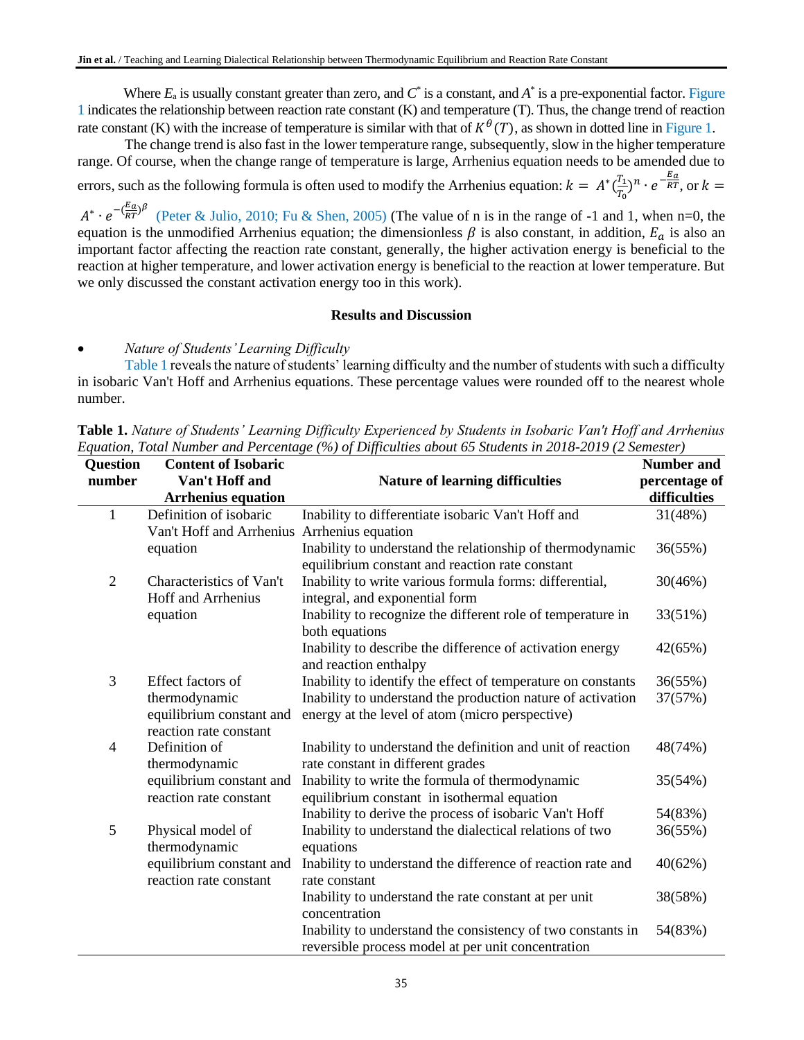Where  $E_a$  is usually constant greater than zero, and  $C^*$  is a constant, and  $A^*$  is a pre-exponential factor. Figure 1 indicates the relationship between reaction rate constant (K) and temperature (T). Thus, the change trend of reaction rate constant (K) with the increase of temperature is similar with that of  $K^{\theta}(T)$ , as shown in dotted line in Figure 1.

The change trend is also fast in the lower temperature range, [subsequentl](http://www.youdao.com/w/subsequent/#keyfrom=E2Ctranslation)y, slow in the higher temperature range. Of course, when the change range of temperature is large, Arrhenius equation needs to be amended due to errors, such as the following formula is often used to modify the Arrhenius equation:  $k = A^* \left( \frac{T_1}{T_1} \right)$  $\frac{T_1}{T_0}\big)^n \cdot e^{-\frac{E_a}{RT}}$ , or  $k =$ 

 $A^* \cdot e^{-\left(\frac{E_a}{RT}\right)^{\beta}}$  (Peter & Julio, 2010; Fu & Shen, 2005) (The value of n is in the range of -1 and 1, when n=0, the equation is the unmodified Arrhenius equation; the dimensionless  $\beta$  is also constant, in addition,  $E_a$  is also an important factor affecting the reaction rate constant, generally, the higher activation energy is beneficial to the reaction at higher temperature, and lower activation energy is beneficial to the reaction at lower temperature. But we only discussed the constant activation energy too in this work).

# **Results and Discussion**

• *Nature of Students' Learning Difficulty*

Table 1 reveals the nature of students' learning difficulty and the number of students with such a difficulty in isobaric Van't Hoff and Arrhenius equations. These percentage values were rounded off to the nearest whole number.

| <b>Question</b> | <b>Content of Isobaric</b>                  |                                                              | <b>Number and</b> |
|-----------------|---------------------------------------------|--------------------------------------------------------------|-------------------|
| number          | Van't Hoff and                              | <b>Nature of learning difficulties</b>                       | percentage of     |
|                 | <b>Arrhenius equation</b>                   |                                                              | difficulties      |
| 1               | Definition of isobaric                      | Inability to differentiate isobaric Van't Hoff and           | 31(48%)           |
|                 | Van't Hoff and Arrhenius Arrhenius equation |                                                              |                   |
|                 | equation                                    | Inability to understand the relationship of thermodynamic    | 36(55%)           |
|                 |                                             | equilibrium constant and reaction rate constant              |                   |
| $\overline{2}$  | Characteristics of Van't                    | Inability to write various formula forms: differential,      | 30(46%)           |
|                 | <b>Hoff and Arrhenius</b>                   | integral, and exponential form                               |                   |
|                 | equation                                    | Inability to recognize the different role of temperature in  | 33(51%)           |
|                 |                                             | both equations                                               |                   |
|                 |                                             | Inability to describe the difference of activation energy    | 42(65%)           |
|                 |                                             | and reaction enthalpy                                        |                   |
| 3               | Effect factors of                           | Inability to identify the effect of temperature on constants | 36(55%)           |
|                 | thermodynamic                               | Inability to understand the production nature of activation  | 37(57%)           |
|                 | equilibrium constant and                    | energy at the level of atom (micro perspective)              |                   |
|                 | reaction rate constant                      |                                                              |                   |
| 4               | Definition of                               | Inability to understand the definition and unit of reaction  | 48(74%)           |
|                 | thermodynamic                               | rate constant in different grades                            |                   |
|                 | equilibrium constant and                    | Inability to write the formula of thermodynamic              | 35(54%)           |
|                 | reaction rate constant                      | equilibrium constant in isothermal equation                  |                   |
|                 |                                             | Inability to derive the process of isobaric Van't Hoff       | 54(83%)           |
| 5               | Physical model of                           | Inability to understand the dialectical relations of two     | 36(55%)           |
|                 | thermodynamic                               | equations                                                    |                   |
|                 | equilibrium constant and                    | Inability to understand the difference of reaction rate and  | 40(62%)           |
|                 | reaction rate constant                      | rate constant                                                |                   |
|                 |                                             | Inability to understand the rate constant at per unit        | 38(58%)           |
|                 |                                             | concentration                                                |                   |
|                 |                                             | Inability to understand the consistency of two constants in  | 54(83%)           |
|                 |                                             | reversible process model at per unit concentration           |                   |

**Table 1.** *Nature of Students' Learning Difficulty Experienced by Students in Isobaric Van't Hoff and Arrhenius Equation, Total Number and Percentage (%) of Difficulties about 65 Students in 2018-2019 (2 Semester)*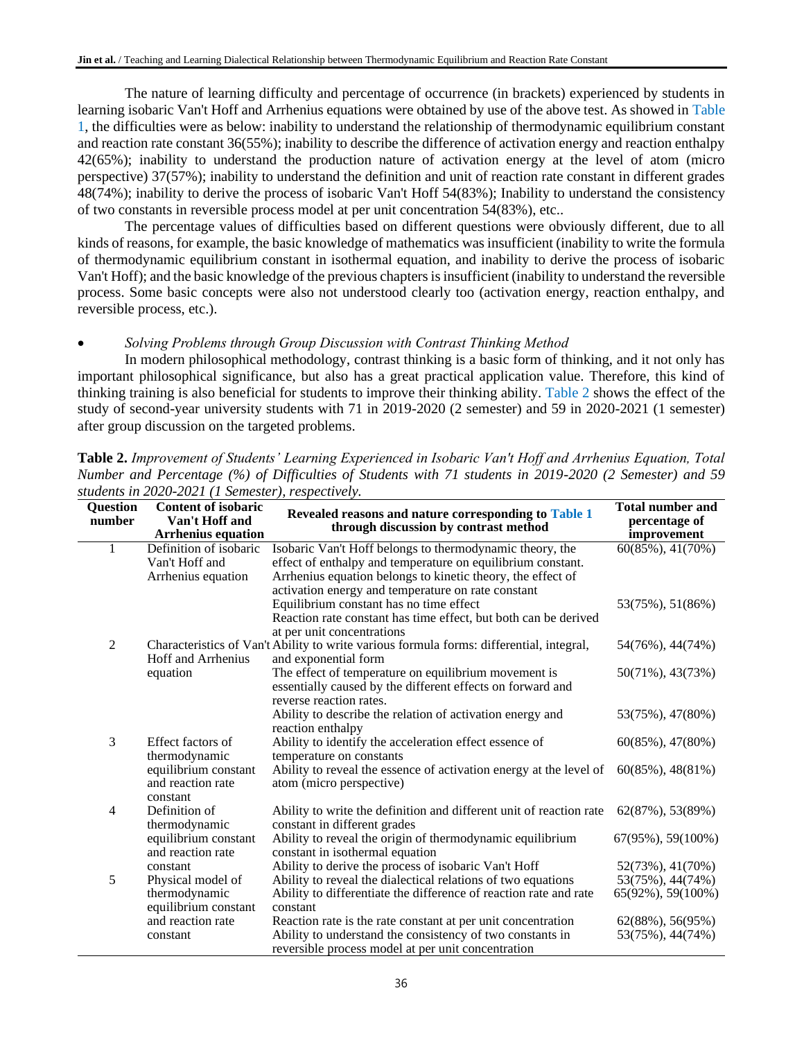The nature of learning difficulty and percentage of occurrence (in brackets) experienced by students in learning isobaric Van't Hoff and Arrhenius equations were obtained by use of the above test. As showed in Table 1, the difficulties were as below: inability to understand the relationship of thermodynamic equilibrium constant and reaction rate constant 36(55%); inability to describe the difference of activation energy and reaction enthalpy 42(65%); inability to understand the production nature of activation energy at the level of atom (micro perspective) 37(57%); inability to understand the definition and unit of reaction rate constant in different grades 48(74%); inability to derive the process of isobaric Van't Hoff 54(83%); Inability to understand the consistency of two constants in reversible process model at per unit concentration 54(83%), etc..

The percentage values of difficulties based on different questions were obviously different, due to all kinds of reasons, for example, the basic knowledge of mathematics was insufficient (inability to write the formula of thermodynamic equilibrium constant in isothermal equation, and inability to derive the process of isobaric Van't Hoff); and the basic knowledge of the previous chapters is insufficient (inability to understand the reversible process. Some basic concepts were also not understood clearly too (activation energy, reaction enthalpy, and reversible process, etc.).

# • *Solving Problems through Group Discussion with Contrast Thinking Method*

In modern philosophical methodology, contrast thinking is a basic form of thinking, and it not only has important philosophical significance, but also has a great practical application value. Therefore, this kind of thinking training is also beneficial for students to improve their thinking ability. Table 2 shows the effect of the study of second-year university students with 71 in 2019-2020 (2 semester) and 59 in 2020-2021 (1 semester) after group discussion on the targeted problems.

| <b>Question</b><br>number | <b>Content of isobaric</b><br>Van't Hoff and<br><b>Arrhenius equation</b> | Revealed reasons and nature corresponding to Table 1<br>through discussion by contrast method | <b>Total number and</b><br>percentage of<br>improvement |
|---------------------------|---------------------------------------------------------------------------|-----------------------------------------------------------------------------------------------|---------------------------------------------------------|
| 1                         | Definition of isobaric                                                    | Isobaric Van't Hoff belongs to thermodynamic theory, the                                      | $60(85\%)$ , 41(70%)                                    |
|                           | Van't Hoff and                                                            | effect of enthalpy and temperature on equilibrium constant.                                   |                                                         |
|                           | Arrhenius equation                                                        | Arrhenius equation belongs to kinetic theory, the effect of                                   |                                                         |
|                           |                                                                           | activation energy and temperature on rate constant                                            |                                                         |
|                           |                                                                           | Equilibrium constant has no time effect                                                       | 53(75%), 51(86%)                                        |
|                           |                                                                           | Reaction rate constant has time effect, but both can be derived<br>at per unit concentrations |                                                         |
| 2                         |                                                                           | Characteristics of Van't Ability to write various formula forms: differential, integral,      | 54(76%), 44(74%)                                        |
|                           | <b>Hoff and Arrhenius</b>                                                 | and exponential form                                                                          |                                                         |
|                           | equation                                                                  | The effect of temperature on equilibrium movement is                                          | $50(71\%)$ , 43(73%)                                    |
|                           |                                                                           | essentially caused by the different effects on forward and                                    |                                                         |
|                           |                                                                           | reverse reaction rates.                                                                       |                                                         |
|                           |                                                                           | Ability to describe the relation of activation energy and                                     | 53(75%), 47(80%)                                        |
|                           |                                                                           | reaction enthalpy                                                                             |                                                         |
| 3                         | Effect factors of                                                         | Ability to identify the acceleration effect essence of                                        | $60(85\%)$ , 47 $(80\%)$                                |
|                           | thermodynamic                                                             | temperature on constants                                                                      |                                                         |
|                           | equilibrium constant                                                      | Ability to reveal the essence of activation energy at the level of                            | $60(85\%)$ , 48(81\%)                                   |
|                           | and reaction rate                                                         | atom (micro perspective)                                                                      |                                                         |
|                           | constant                                                                  |                                                                                               |                                                         |
| 4                         | Definition of                                                             | Ability to write the definition and different unit of reaction rate                           | 62(87%), 53(89%)                                        |
|                           | thermodynamic                                                             | constant in different grades                                                                  |                                                         |
|                           | equilibrium constant<br>and reaction rate                                 | Ability to reveal the origin of thermodynamic equilibrium<br>constant in isothermal equation  | $67(95\%)$ , 59 $(100\%)$                               |
|                           | constant                                                                  | Ability to derive the process of isobaric Van't Hoff                                          | 52(73%), 41(70%)                                        |
| 5                         | Physical model of                                                         | Ability to reveal the dialectical relations of two equations                                  | 53(75%), 44(74%)                                        |
|                           | thermodynamic                                                             | Ability to differentiate the difference of reaction rate and rate                             | 65(92%), 59(100%)                                       |
|                           | equilibrium constant                                                      | constant                                                                                      |                                                         |
|                           | and reaction rate                                                         | Reaction rate is the rate constant at per unit concentration                                  | 62(88%), 56(95%)                                        |
|                           | constant                                                                  | Ability to understand the consistency of two constants in                                     | 53(75%), 44(74%)                                        |
|                           |                                                                           | reversible process model at per unit concentration                                            |                                                         |

**Table 2.** *Improvement of Students' Learning Experienced in Isobaric Van't Hoff and Arrhenius Equation, Total Number and Percentage (%) of Difficulties of Students with 71 students in 2019-2020 (2 Semester) and 59 students in 2020-2021 (1 Semester), respectively.*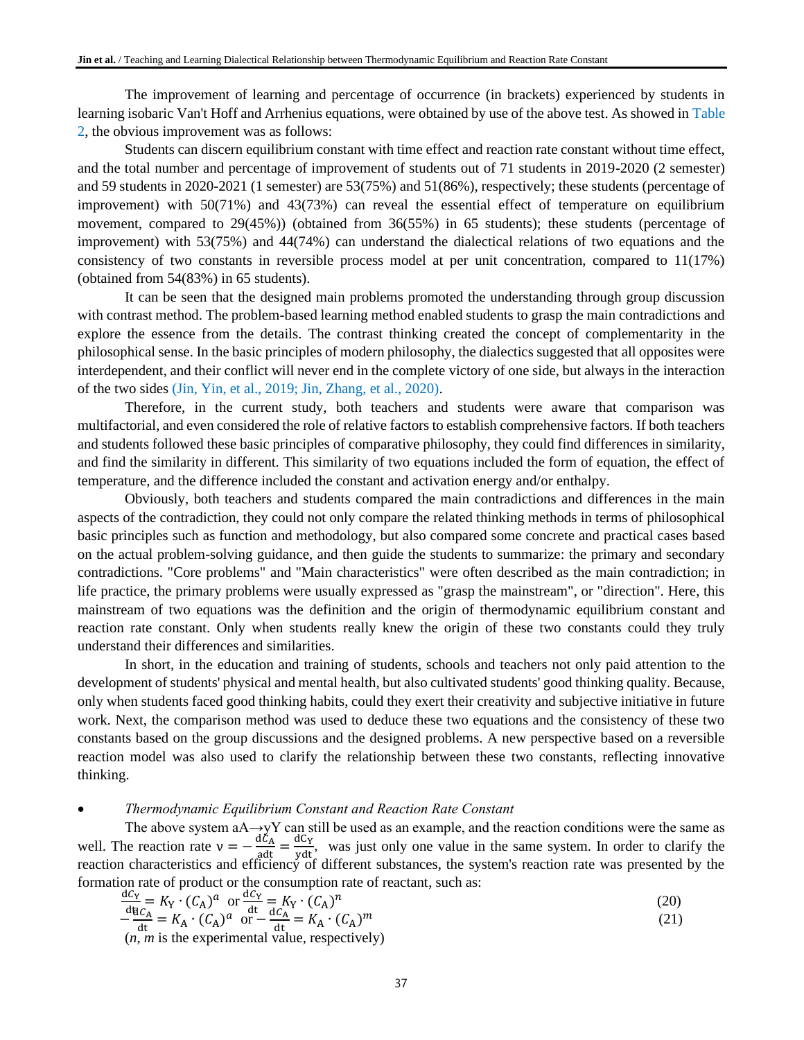The improvement of learning and percentage of occurrence (in brackets) experienced by students in learning isobaric Van't Hoff and Arrhenius equations, were obtained by use of the above test. As showed in Table 2, the obvious improvement was as follows:

Students can discern equilibrium constant with time effect and reaction rate constant without time effect, and the total number and percentage of improvement of students out of 71 students in 2019-2020 (2 semester) and 59 students in 2020-2021 (1 semester) are 53(75%) and 51(86%), respectively; these students (percentage of improvement) with 50(71%) and 43(73%) can reveal the essential effect of temperature on equilibrium movement, compared to 29(45%)) (obtained from 36(55%) in 65 students); these students (percentage of improvement) with 53(75%) and 44(74%) can understand the dialectical relations of two equations and the consistency of two constants in reversible process model at per unit concentration, compared to 11(17%) (obtained from 54(83%) in 65 students).

It can be seen that the designed main problems promoted the understanding through group discussion with contrast method. The problem-based learning method enabled students to grasp the main contradictions and explore the essence from the details. The contrast thinking created the concept of complementarity in the philosophical sense. In the basic principles of modern philosophy, the dialectics suggested that all opposites were interdependent, and their conflict will never end in the complete victory of one side, but always in the interaction of the two sides (Jin, Yin, et al., 2019; Jin, Zhang, et al., 2020).

Therefore, in the current study, both teachers and students were aware that comparison was multifactorial, and even considered the role of relative factors to establish comprehensive factors. If both teachers and students followed these basic principles of comparative philosophy, they could find differences in similarity, and find the similarity in different. This similarity of two equations included the form of equation, the effect of temperature, and the difference included the constant and activation energy and/or enthalpy.

Obviously, both teachers and students compared the main contradictions and differences in the main aspects of the contradiction, they could not only compare the related thinking methods in terms of philosophical basic principles such as function and methodology, but also compared some concrete and practical cases based on the actual problem-solving guidance, and then guide the students to summarize: the primary and secondary contradictions. "Core problems" and "Main characteristics" were often described as the main contradiction; in life practice, the primary problems were usually expressed as "grasp the mainstream", or "direction". Here, this mainstream of two equations was the definition and the origin of thermodynamic equilibrium constant and reaction rate constant. Only when students really knew the origin of these two constants could they truly understand their differences and similarities.

In short, in the education and training of students, schools and teachers not only paid attention to the development of students' physical and mental health, but also cultivated students' good thinking quality. Because, only when students faced good thinking habits, could they exert their creativity and subjective initiative in future work. Next, the comparison method was used to deduce these two equations and the consistency of these two constants based on the group discussions and the designed problems. A new perspective based on a reversible reaction model was also used to clarify the relationship between these two constants, reflecting innovative thinking.

# • *Thermodynamic Equilibrium Constant and Reaction Rate Constant*

The above system aA→yY can still be used as an example, and the reaction conditions were the same as well. The reaction rate  $v = -\frac{d\zeta_A}{g dt} = \frac{dC_Y}{y dt}$ , was just only one value in the same system. In order to clarify the reaction characteristics and efficiency of different substances, the system's reaction rate was presented by the formation rate of product or the consumption rate of reactant, such as:

$$
\frac{dC_Y}{dt} = K_Y \cdot (C_A)^a \text{ or } \frac{dC_Y}{dt} = K_Y \cdot (C_A)^n
$$
\n
$$
-\frac{dC_A}{dt} = K_A \cdot (C_A)^a \text{ or } -\frac{dC_A}{dt} = K_A \cdot (C_A)^m
$$
\n(20)

 $(n, m)$  is the experimental value, respectively)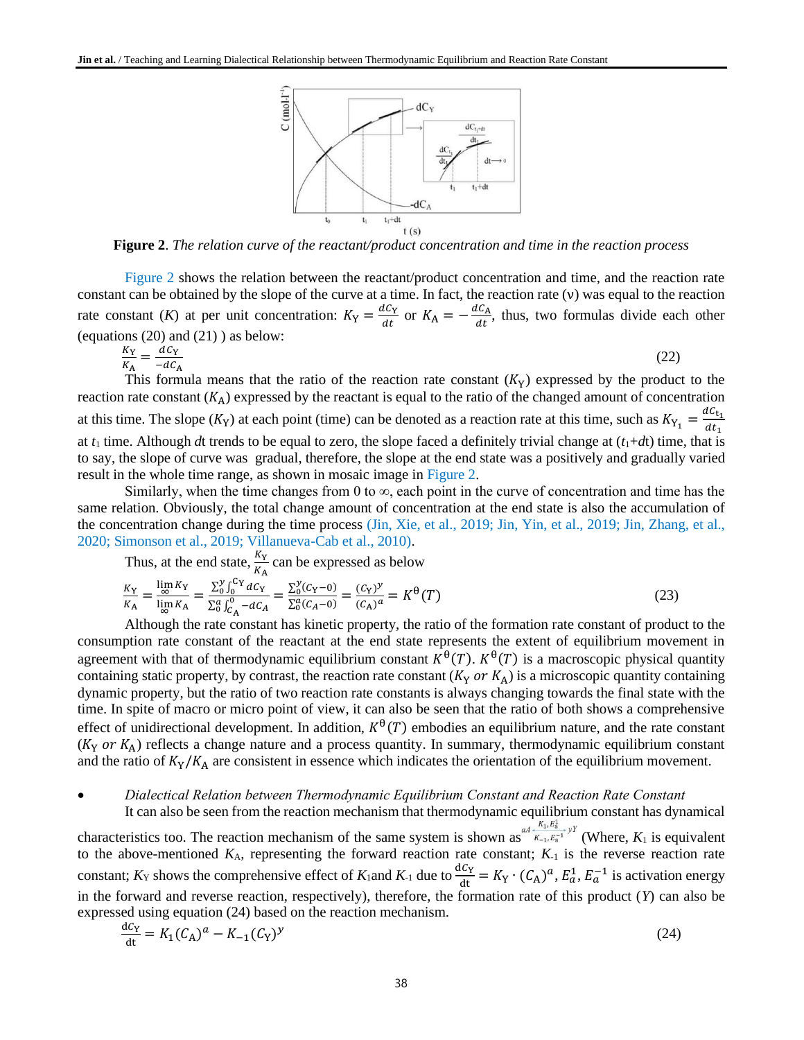

**Figure 2**. *The relation curve of the reactant/product concentration and time in the reaction process*

Figure 2 shows the relation between the reactant/product concentration and time, and the reaction rate constant can be obtained by the slope of the curve at a time. In fact, the reaction rate (ν) was equal to the reaction rate constant (*K*) at per unit concentration:  $K_Y = \frac{dC_Y}{dt}$  $\frac{dC_Y}{dt}$  or  $K_A = -\frac{dC_A}{dt}$  $\frac{\partial C_A}{\partial t}$ , thus, two formulas divide each other (equations  $(20)$  and  $(21)$ ) as below:

$$
\frac{K_Y}{K_A} = \frac{dC_Y}{-dC_A} \tag{22}
$$

This formula means that the ratio of the reaction rate constant  $(K_Y)$  expressed by the product to the reaction rate constant  $(K_A)$  expressed by the reactant is equal to the ratio of the changed amount of concentration at this time. The slope  $(K_Y)$  at each point (time) can be denoted as a reaction rate at this time, such as  $K_{Y_1} = \frac{dC_{t_1}}{dt_1}$  $dt_1$ at  $t_1$  time. Although *d*t trends to be equal to zero, the slope faced a definitely trivial change at  $(t_1+dt)$  time, that is to say, the slope of curve was gradual, therefore, the slope at the end state was a [positivel](http://www.youdao.com/w/positive/#keyfrom=E2Ctranslation)y an[d gradually varied](http://www.youdao.com/w/gradually%20varied/#keyfrom=E2Ctranslation) result in the whole time range, as shown in mosaic image in Figure 2.

Similarly, when the time changes from 0 to  $\infty$ , each point in the curve of concentration and time has the same relation. Obviously, the total change amount of concentration at the end state is also the accumulation of the concentration change during the time process (Jin, Xie, et al., 2019; Jin, Yin, et al., 2019; Jin, Zhang, et al., 2020; Simonson et al., 2019; Villanueva-Cab et al., 2010).

Thus, at the end state,  $\frac{K_Y}{K_A}$  can be expressed as below

$$
\frac{K_{\rm Y}}{K_{\rm A}} = \frac{\lim_{\infty} K_{\rm Y}}{\lim_{\infty} K_{\rm A}} = \frac{\sum_{0}^{\nu} \int_{0}^{\mathrm{C}_{\rm Y}} dC_{\rm Y}}{\sum_{0}^{\alpha} \int_{C_{\rm A}}^{\mathrm{o}} - dC_{\rm A}} = \frac{\sum_{0}^{\nu} (C_{\rm Y} - 0)}{\sum_{0}^{\alpha} (C_{\rm A} - 0)} = \frac{(C_{\rm Y})^{\nu}}{(C_{\rm A})^{\alpha}} = K^{\Theta}(T)
$$
\n(23)

Although the rate constant has kinetic property, the ratio of the formation rate constant of product to the consumption rate constant of the reactant at the end state represents the extent of equilibrium movement in agreement with that of thermodynamic equilibrium constant  $K^{\theta}(T)$ .  $K^{\theta}(T)$  is a macroscopic physical quantity containing static property, by contrast, the reaction rate constant  $(K_Y \text{ or } K_A)$  is a microscopic quantity containing [dynamic property,](http://www.youdao.com/w/dynamic%20property/#keyfrom=E2Ctranslation) but the ratio of two reaction rate constants is always changing towards the final state with the time. In spite of macro or micro point of view, it can also be seen that the ratio of both shows a comprehensive effect of unidirectional development. In addition,  $K^{\theta}(T)$  embodies an equilibrium nature, and the rate constant  $(K_Y \text{ or } K_A)$  reflects a change nature and a process quantity. In summary, thermodynamic equilibrium constant and the ratio of  $K_Y/K_A$  are consistent in essence which indicates the orientation of the equilibrium movement.

# • *Dialectical Relation between Thermodynamic Equilibrium Constant and Reaction Rate Constant* It can also be seen from the reaction mechanism that thermodynamic equilibrium constant has dynamical

characteristics too. The reaction mechanism of the same system is shown as  $aA + K_1, E_3^+ \rightarrow Y$  (Where,  $K_1$  is equivalent to the above-mentioned  $K_A$ , representing the forward reaction rate constant;  $K_A$  is the reverse reaction rate constant;  $K_Y$  shows the comprehensive effect of  $K_1$  and  $K_{-1}$  due to  $\frac{dC_Y}{dt} = K_Y \cdot (C_A)^a$ ,  $E_a^1$ ,  $E_a^{-1}$  is activation energy in the forward and reverse reaction, respectively), therefore, the formation rate of this product (*Y*) can also be expressed using equation (24) based on the reaction mechanism.

$$
\frac{dC_Y}{dt} = K_1 (C_A)^a - K_{-1} (C_Y)^y
$$
\n(24)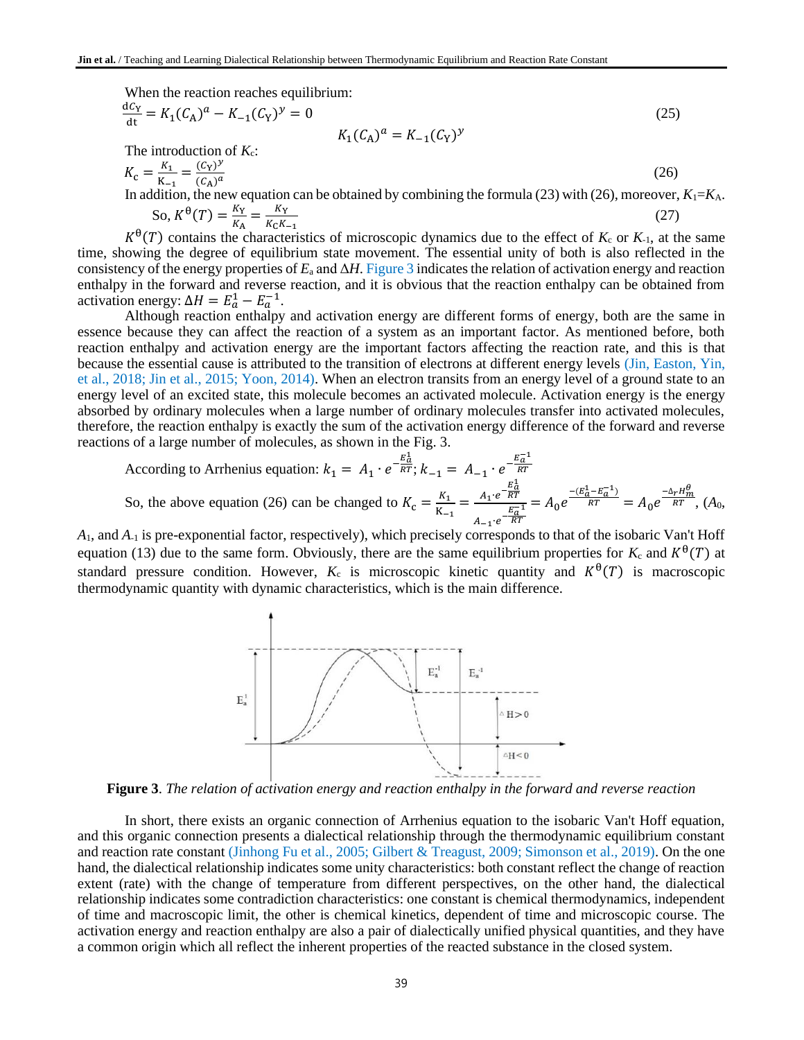When the reaction reaches equilibrium:

$$
\frac{dC_Y}{dt} = K_1(C_A)^a - K_{-1}(C_Y)^y = 0
$$
\nThe introduction of  $K_c$ :

\n
$$
K_c = \frac{K_1}{K_{-1}} = \frac{(C_Y)^y}{(C_A)^a}
$$
\nIn addition, the new equation can be obtained by combining the formula (23) with (26), moreover,  $K_1 = K_A$ .

So, 
$$
K^{\theta}(T) = \frac{K_Y}{K_A} = \frac{K_Y}{K_C K_{-1}}
$$
 (27)

 $K^{\theta}(T)$  contains the characteristics of microscopic dynamics due to the effect of  $K_c$  or  $K_{-1}$ , at the same time, showing the degree of equilibrium state movement. The essential unity of both is also reflected in the consistency of the energy properties of  $E_a$  and  $\Delta H$ . Figure 3 indicates the relation of activation energy and reaction enthalpy in the forward and reverse reaction, and it is obvious that the reaction enthalpy can be obtained from activation energy:  $\Delta H = E_a^1 - E_a^{-1}$ .

Although reaction enthalpy and activation energy are different forms of energy, both are the same in essence because they can affect the reaction of a system as an important factor. As mentioned before, both reaction enthalpy and activation energy are the important factors affecting the reaction rate, and this is that because the essential cause is attributed to the transition of electrons at different energy levels (Jin, Easton, Yin, et al., 2018; Jin et al., 2015; Yoon, 2014). When an electron transits from an energy level of a ground state to an energy level of an excited state, this molecule becomes an activated molecule. Activation energy is the energy absorbed by ordinary molecules when a large number of ordinary molecules transfer into activated molecules, therefore, the reaction enthalpy is exactly the sum of the activation energy difference of the forward and reverse reactions of a large number of molecules, as shown in the Fig. 3.

According to Arrhenius equation: 
$$
k_1 = A_1 \cdot e^{-\frac{E_0^1}{RT}}
$$
;  $k_{-1} = A_{-1} \cdot e^{-\frac{E_0^{-1}}{RT}}$   
So, the above equation (26) can be changed to  $K_c = \frac{K_1}{K_{-1}} = \frac{A_1 \cdot e^{-\frac{E_0^1}{RT}}}{A_{-1} \cdot e^{-\frac{E_0^{-1}}{RT}}} = A_0 e^{-\frac{(E_0^1 - E_0^{-1})}{RT}} = A_0 e^{-\frac{\Delta_r H_m^{\theta}}{RT}}$ , (A<sub>0</sub>,

*A*1, and *A*-1 is pre-exponential factor, respectively), which precisely corresponds to that of the isobaric Van't Hoff equation (13) due to the same form. Obviously, there are the same equilibrium properties for  $K_c$  and  $K^{\theta}(T)$  at standard pressure condition. However,  $K_c$  is microscopic kinetic quantity and  $K^{\theta}(T)$  is macroscopic thermodynamic quantity with dynamic characteristics, which is the main difference.



**Figure 3**. *The relation of activation energy and reaction enthalpy in the forward and reverse reaction*

In short, there exists an organic connection of Arrhenius equation to the isobaric Van't Hoff equation, and this organic connection presents a dialectical relationship through the thermodynamic equilibrium constant and reaction rate constant (Jinhong Fu et al., 2005; Gilbert & Treagust, 2009; Simonson et al., 2019). On the one hand, the dialectical relationship indicates some unity characteristics: both constant reflect the change of reaction extent (rate) with the change of temperature from different perspectives, on the other hand, the dialectical relationship indicates some contradiction characteristics: one constant is chemical thermodynamics, independent of time and macroscopic limit, the other is chemical kinetics, dependent of time and microscopic course. The activation energy and reaction enthalpy are also a pair of dialectically unified physical quantities, and they have a common origin which all reflect the inherent properties of the reacted substance in the closed system.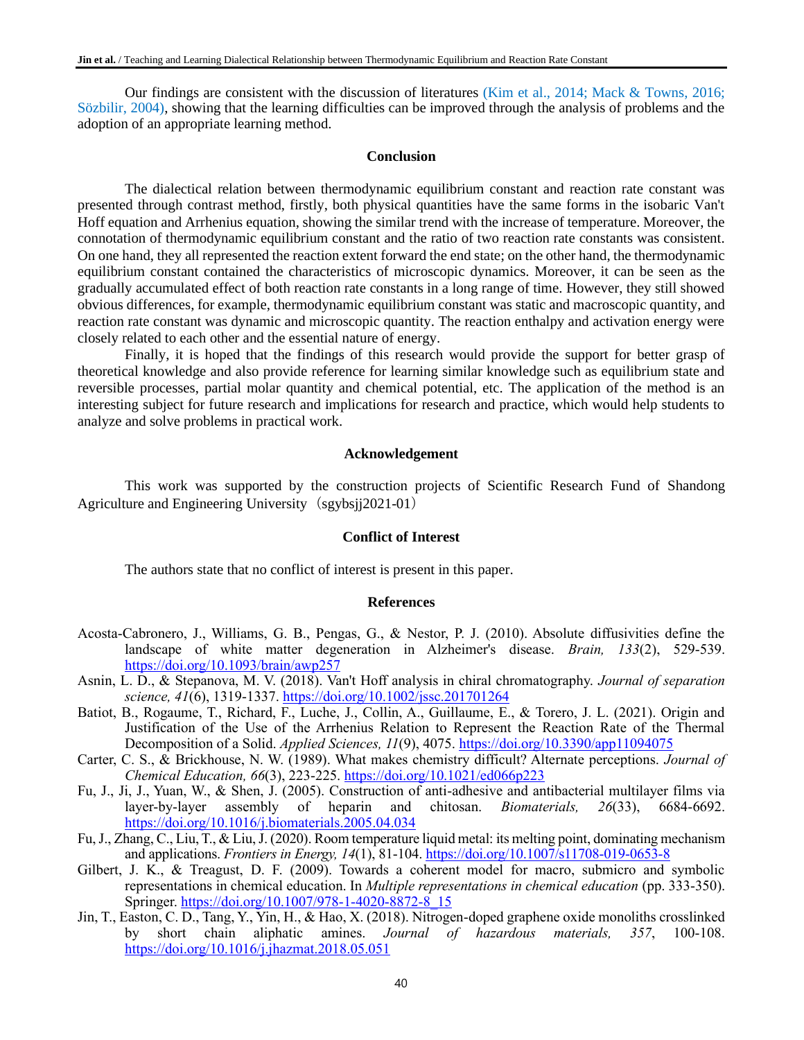Our findings are consistent with the discussion of literatures (Kim et al., 2014; Mack & Towns, 2016; Sözbilir, 2004), showing that the learning difficulties can be improved through the analysis of problems and the adoption of an appropriate learning method.

#### **Conclusion**

The dialectical relation between thermodynamic equilibrium constant and reaction rate constant was presented through contrast method, firstly, both physical quantities have the same forms in the isobaric Van't Hoff equation and Arrhenius equation, showing the similar trend with the increase of temperature. Moreover, the connotation of thermodynamic equilibrium constant and the ratio of two reaction rate constants was consistent. On one hand, they all represented the reaction extent forward the end state; on the other hand, the thermodynamic equilibrium constant contained the characteristics of microscopic dynamics. Moreover, it can be seen as the gradually accumulated effect of both reaction rate constants in a long range of time. However, they still showed obvious differences, for example, thermodynamic equilibrium constant was static and macroscopic quantity, and reaction rate constant was dynamic and microscopic quantity. The reaction enthalpy and activation energy were closely related to each other and the essential nature of energy.

Finally, it is hoped that the findings of this research would provide the support for better grasp of theoretical knowledge and also provide reference for learning similar knowledge such as equilibrium state and reversible processes, partial molar quantity and chemical potential, etc. The application of the method is an interesting subject for future research and implications for research and practice, which would help students to analyze and solve problems in practical work.

## **Acknowledgement**

This work was supported by the construction projects of Scientific Research Fund of Shandong Agriculture and Engineering University (sgybsjj2021-01)

#### **Conflict of Interest**

The authors state that no conflict of interest is present in this paper.

#### **References**

- Acosta-Cabronero, J., Williams, G. B., Pengas, G., & Nestor, P. J. (2010). Absolute diffusivities define the landscape of white matter degeneration in Alzheimer's disease. *Brain, 133*(2), 529-539. <https://doi.org/10.1093/brain/awp257>
- Asnin, L. D., & Stepanova, M. V. (2018). Van't Hoff analysis in chiral chromatography. *Journal of separation science, 41*(6), 1319-1337.<https://doi.org/10.1002/jssc.201701264>
- Batiot, B., Rogaume, T., Richard, F., Luche, J., Collin, A., Guillaume, E., & Torero, J. L. (2021). Origin and Justification of the Use of the Arrhenius Relation to Represent the Reaction Rate of the Thermal Decomposition of a Solid. *Applied Sciences, 11*(9), 4075.<https://doi.org/10.3390/app11094075>
- Carter, C. S., & Brickhouse, N. W. (1989). What makes chemistry difficult? Alternate perceptions. *Journal of Chemical Education, 66*(3), 223-225.<https://doi.org/10.1021/ed066p223>
- Fu, J., Ji, J., Yuan, W., & Shen, J. (2005). Construction of anti-adhesive and antibacterial multilayer films via layer-by-layer assembly of heparin and chitosan. *Biomaterials, 26*(33), 6684-6692. <https://doi.org/10.1016/j.biomaterials.2005.04.034>
- Fu, J., Zhang, C., Liu, T., & Liu, J. (2020). Room temperature liquid metal: its melting point, dominating mechanism and applications. *Frontiers in Energy, 14*(1), 81-104.<https://doi.org/10.1007/s11708-019-0653-8>
- Gilbert, J. K., & Treagust, D. F. (2009). Towards a coherent model for macro, submicro and symbolic representations in chemical education. In *Multiple representations in chemical education* (pp. 333-350). Springer. [https://doi.org/10.1007/978-1-4020-8872-8\\_15](https://doi.org/10.1007/978-1-4020-8872-8_15)
- Jin, T., Easton, C. D., Tang, Y., Yin, H., & Hao, X. (2018). Nitrogen-doped graphene oxide monoliths crosslinked by short chain aliphatic amines. *Journal of hazardous materials, 357*, 100-108. <https://doi.org/10.1016/j.jhazmat.2018.05.051>